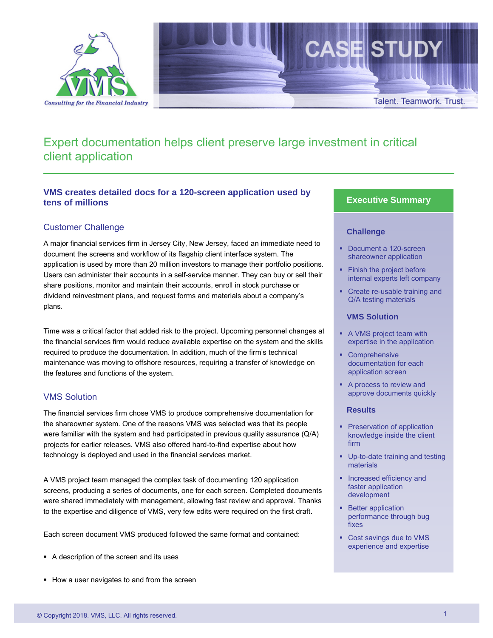

# Expert documentation helps client preserve large investment in critical client application

# **VMS creates detailed docs for a 120-screen application used by tens of millions**

## Customer Challenge

A major financial services firm in Jersey City, New Jersey, faced an immediate need to document the screens and workflow of its flagship client interface system. The application is used by more than 20 million investors to manage their portfolio positions. Users can administer their accounts in a self-service manner. They can buy or sell their share positions, monitor and maintain their accounts, enroll in stock purchase or dividend reinvestment plans, and request forms and materials about a company's plans.

Time was a critical factor that added risk to the project. Upcoming personnel changes at the financial services firm would reduce available expertise on the system and the skills required to produce the documentation. In addition, much of the firm's technical maintenance was moving to offshore resources, requiring a transfer of knowledge on the features and functions of the system.

## VMS Solution

The financial services firm chose VMS to produce comprehensive documentation for the shareowner system. One of the reasons VMS was selected was that its people were familiar with the system and had participated in previous quality assurance (Q/A) projects for earlier releases. VMS also offered hard-to-find expertise about how technology is deployed and used in the financial services market.

A VMS project team managed the complex task of documenting 120 application screens, producing a series of documents, one for each screen. Completed documents were shared immediately with management, allowing fast review and approval. Thanks to the expertise and diligence of VMS, very few edits were required on the first draft.

Each screen document VMS produced followed the same format and contained:

- A description of the screen and its uses
- How a user navigates to and from the screen

#### **Executive Summary**

#### **Challenge**

- **Document a 120-screen** shareowner application
- Finish the project before internal experts left company
- Create re-usable training and Q/A testing materials

#### **VMS Solution**

- A VMS project team with expertise in the application
- Comprehensive documentation for each application screen
- A process to review and approve documents quickly

#### **Results**

- **Preservation of application** knowledge inside the client firm
- **Up-to-date training and testing** materials
- **Increased efficiency and** faster application development
- **Better application** performance through bug fixes
- Cost savings due to VMS experience and expertise